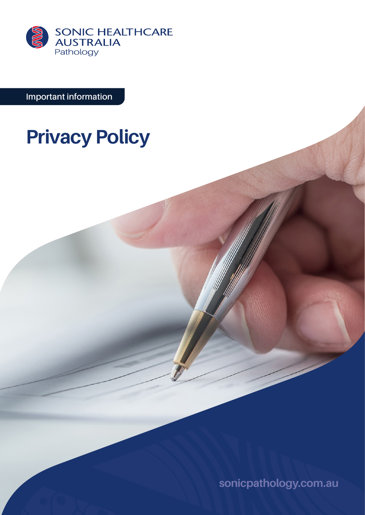

**Important information**

# **Privacy Policy**

**[sonicpathology.com.au](http://sonicpathology.com.au)**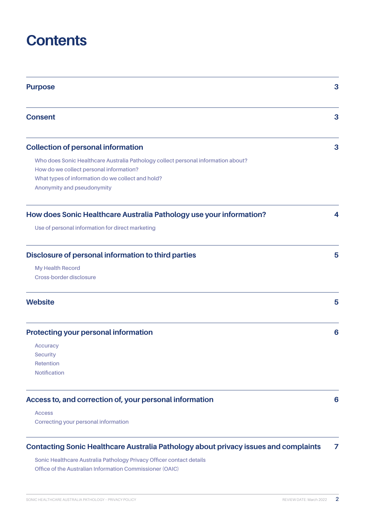## **Contents**

| <b>Purpose</b>                                                                    | 3 |
|-----------------------------------------------------------------------------------|---|
| <b>Consent</b>                                                                    | 3 |
| <b>Collection of personal information</b>                                         | 3 |
| Who does Sonic Healthcare Australia Pathology collect personal information about? |   |
| How do we collect personal information?                                           |   |
| What types of information do we collect and hold?                                 |   |
| Anonymity and pseudonymity                                                        |   |
| How does Sonic Healthcare Australia Pathology use your information?               | 4 |
| Use of personal information for direct marketing                                  |   |
| Disclosure of personal information to third parties                               | 5 |
| <b>My Health Record</b>                                                           |   |
| Cross-border disclosure                                                           |   |
| <b>Website</b>                                                                    | 5 |
| <b>Protecting your personal information</b>                                       | 6 |
| <b>Accuracy</b>                                                                   |   |
| <b>Security</b>                                                                   |   |
| Retention                                                                         |   |
| <b>Notification</b>                                                               |   |
| Access to, and correction of, your personal information                           | 6 |
| <b>Access</b>                                                                     |   |
| Correcting your personal information                                              |   |
|                                                                                   |   |

## **[Contacting Sonic Healthcare Australia Pathology about privacy issues and](#page-6-0) complaints 7**

**[Sonic Healthcare Australia Pathology Privacy Officer contact details](#page-6-0) [Office of the Australian Information Commissioner \(OAIC\)](#page-6-0)**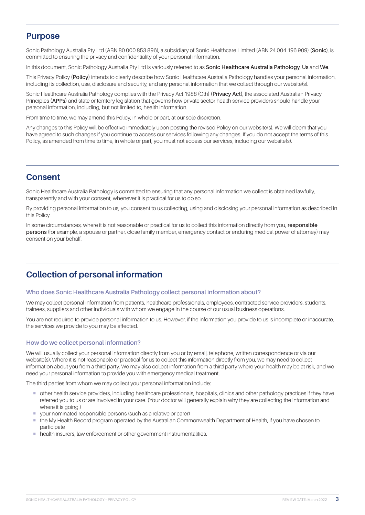## <span id="page-2-0"></span>**Purpose**

Sonic Pathology Australia Pty Ltd (ABN 80 000 853 896), a subsidiary of Sonic Healthcare Limited (ABN 24 004 196 909) **(Sonic)**, is committed to ensuring the privacy and confidentiality of your personal information.

In this document, Sonic Pathology Australia Pty Ltd is variously referred to as **Sonic Healthcare Australia Pathology**, **Us** and **We**.

This Privacy Policy **(Policy)** intends to clearly describe how Sonic Healthcare Australia Pathology handles your personal information, including its collection, use, disclosure and security, and any personal information that we collect through our website(s).

Sonic Healthcare Australia Pathology complies with the Privacy Act 1988 (Cth) **(Privacy Act)**, the associated Australian Privacy Principles **(APPs)** and state or territory legislation that governs how private sector health service providers should handle your personal information, including, but not limited to, health information.

From time to time, we may amend this Policy, in whole or part, at our sole discretion.

Any changes to this Policy will be effective immediately upon posting the revised Policy on our website(s). We will deem that you have agreed to such changes if you continue to access our services following any changes. If you do not accept the terms of this Policy, as amended from time to time, in whole or part, you must not access our services, including our website(s).

## **Consent**

Sonic Healthcare Australia Pathology is committed to ensuring that any personal information we collect is obtained lawfully, transparently and with your consent, whenever it is practical for us to do so.

By providing personal information to us, you consent to us collecting, using and disclosing your personal information as described in this Policy.

In some circumstances, where it is not reasonable or practical for us to collect this information directly from you, **responsible persons** (for example, a spouse or partner, close family member, emergency contact or enduring medical power of attorney) may consent on your behalf.

## **Collection of personal information**

#### **Who does Sonic Healthcare Australia Pathology collect personal information about?**

We may collect personal information from patients, healthcare professionals, employees, contracted service providers, students, trainees, suppliers and other individuals with whom we engage in the course of our usual business operations.

You are not required to provide personal information to us. However, if the information you provide to us is incomplete or inaccurate, the services we provide to you may be affected.

#### **How do we collect personal information?**

We will usually collect your personal information directly from you or by email, telephone, written correspondence or via our website(s). Where it is not reasonable or practical for us to collect this information directly from you, we may need to collect information about you from a third party. We may also collect information from a third party where your health may be at risk, and we need your personal information to provide you with emergency medical treatment.

The third parties from whom we may collect your personal information include:

- ¡ other health service providers, including healthcare professionals, hospitals, clinics and other pathology practices if they have referred you to us or are involved in your care. (Your doctor will generally explain why they are collecting the information and where it is going.)
- ¡ your nominated responsible persons (such as a relative or carer)
- ¡ the My Health Record program operated by the Australian Commonwealth Department of Health, if you have chosen to participate
- health insurers, law enforcement or other government instrumentalities.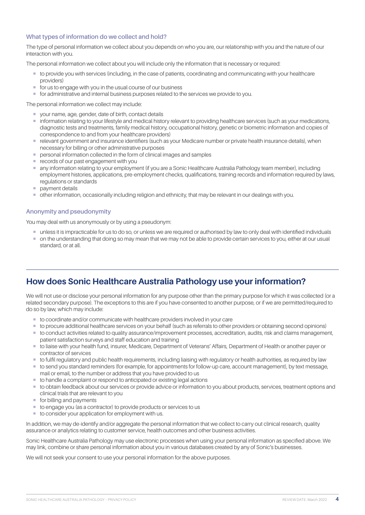#### <span id="page-3-0"></span>**What types of information do we collect and hold?**

The type of personal information we collect about you depends on who you are, our relationship with you and the nature of our interaction with you.

The personal information we collect about you will include only the information that is necessary or required:

- ¡ to provide you with services (including, in the case of patients, coordinating and communicating with your healthcare providers)
- for us to engage with you in the usual course of our business
- ¡ for administrative and internal business purposes related to the services we provide to you.

The personal information we collect may include:

- ¡ your name, age, gender, date of birth, contact details
- ¡ information relating to your lifestyle and medical history relevant to providing healthcare services (such as your medications, diagnostic tests and treatments, family medical history, occupational history, genetic or biometric information and copies of correspondence to and from your healthcare providers)
- ¡ relevant government and insurance identifiers (such as your Medicare number or private health insurance details), when necessary for billing or other administrative purposes
- personal information collected in the form of clinical images and samples
- **records of our past engagement with you**
- ¡ any information relating to your employment (if you are a Sonic Healthcare Australia Pathology team member), including employment histories, applications, pre-employment checks, qualifications, training records and information required by laws, regulations or standards
- **•** payment details
- ¡ other information, occasionally including religion and ethnicity, that may be relevant in our dealings with you.

#### **Anonymity and pseudonymity**

You may deal with us anonymously or by using a pseudonym:

- ¡ unless it is impracticable for us to do so, or unless we are required or authorised by law to only deal with identified individuals
- on the understanding that doing so may mean that we may not be able to provide certain services to you, either at our usual standard, or at all.

## **How does Sonic Healthcare Australia Pathology use your information?**

We will not use or disclose your personal information for any purpose other than the primary purpose for which it was collected (or a related secondary purpose). The exceptions to this are if you have consented to another purpose, or if we are permitted/required to do so by law, which may include:

- to coordinate and/or communicate with healthcare providers involved in your care
- ¡ to procure additional healthcare services on your behalf (such as referrals to other providers or obtaining second opinions)
- ¡ to conduct activities related to quality assurance/improvement processes, accreditation, audits, risk and claims management, patient satisfaction surveys and staff education and training
- ¡ to liaise with your health fund, insurer, Medicare, Department of Veterans' Affairs, Department of Health or another payer or contractor of services
- ¡ to fulfil regulatory and public health requirements, including liaising with regulatory or health authorities, as required by law
- ¡ to send you standard reminders (for example, for appointments for follow-up care, account management), by text message, mail or email, to the number or address that you have provided to us
- to handle a complaint or respond to anticipated or existing legal actions
- ¡ to obtain feedback about our services or provide advice or information to you about products, services, treatment options and clinical trials that are relevant to you
- for billing and payments
- to engage you (as a contractor) to provide products or services to us
- to consider your application for employment with us.

In addition, we may de-identify and/or aggregate the personal information that we collect to carry out clinical research, quality assurance or analytics relating to customer service, health outcomes and other business activities.

Sonic Healthcare Australia Pathology may use electronic processes when using your personal information as specified above. We may link, combine or share personal information about you in various databases created by any of Sonic's businesses.

We will not seek your consent to use your personal information for the above purposes.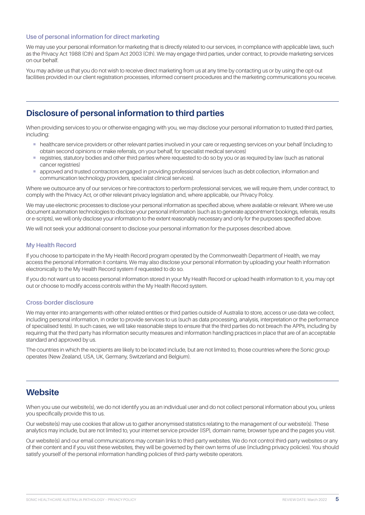#### <span id="page-4-0"></span>**Use of personal information for direct marketing**

We may use your personal information for marketing that is directly related to our services, in compliance with applicable laws, such as the Privacy Act 1988 (Cth) and Spam Act 2003 (Cth). We may engage third parties, under contract, to provide marketing services on our behalf.

You may advise us that you do not wish to receive direct marketing from us at any time by contacting us or by using the opt-out facilities provided in our client registration processes, informed consent procedures and the marketing communications you receive.

## **Disclosure of personal information to third parties**

When providing services to you or otherwise engaging with you, we may disclose your personal information to trusted third parties, including:

- ¡ healthcare service providers or other relevant parties involved in your care or requesting services on your behalf (including to obtain second opinions or make referrals, on your behalf, for specialist medical services)
- registries, statutory bodies and other third parties where requested to do so by you or as required by law (such as national cancer registries)
- ¡ approved and trusted contractors engaged in providing professional services (such as debt collection, information and communication technology providers, specialist clinical services).

Where we outsource any of our services or hire contractors to perform professional services, we will require them, under contract, to comply with the Privacy Act, or other relevant privacy legislation and, where applicable, our Privacy Policy.

We may use electronic processes to disclose your personal information as specified above, where available or relevant. Where we use document automation technologies to disclose your personal information (such as to generate appointment bookings, referrals, results or e-scripts), we will only disclose your information to the extent reasonably necessary and only for the purposes specified above.

We will not seek your additional consent to disclose your personal information for the purposes described above.

#### **My Health Record**

If you choose to participate in the My Health Record program operated by the Commonwealth Department of Health, we may access the personal information it contains. We may also disclose your personal information by uploading your health information electronically to the My Health Record system if requested to do so.

If you do not want us to access personal information stored in your My Health Record or upload health information to it, you may opt out or choose to modify access controls within the My Health Record system.

#### **Cross-border disclosure**

We may enter into arrangements with other related entities or third parties outside of Australia to store, access or use data we collect including personal information, in order to provide services to us (such as data processing, analysis, interpretation or the performance of specialised tests). In such cases, we will take reasonable steps to ensure that the third parties do not breach the APPs, including by requiring that the third party has information security measures and information handling practices in place that are of an acceptable standard and approved by us.

The countries in which the recipients are likely to be located include, but are not limited to, those countries where the Sonic group operates (New Zealand, USA, UK, Germany, Switzerland and Belgium).

### **Website**

When you use our website(s), we do not identify you as an individual user and do not collect personal information about you, unless you specifically provide this to us.

Our website(s) may use cookies that allow us to gather anonymised statistics relating to the management of our website(s). These analytics may include, but are not limited to, your internet service provider (ISP), domain name, browser type and the pages you visit.

Our website(s) and our email communications may contain links to third-party websites. We do not control third-party websites or any of their content and if you visit these websites, they will be governed by their own terms of use (including privacy policies). You should satisfy yourself of the personal information handling policies of third-party website operators.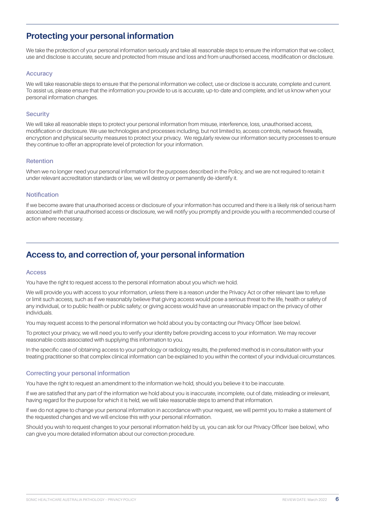## <span id="page-5-0"></span>**Protecting your personal information**

We take the protection of your personal information seriously and take all reasonable steps to ensure the information that we collect, use and disclose is accurate, secure and protected from misuse and loss and from unauthorised access, modification or disclosure.

#### **Accuracy**

We will take reasonable steps to ensure that the personal information we collect, use or disclose is accurate, complete and current. To assist us, please ensure that the information you provide to us is accurate, up-to-date and complete, and let us know when your personal information changes.

#### **Security**

We will take all reasonable steps to protect your personal information from misuse, interference, loss, unauthorised access, modification or disclosure. We use technologies and processes including, but not limited to, access controls, network firewalls, encryption and physical security measures to protect your privacy. We regularly review our information security processes to ensure they continue to offer an appropriate level of protection for your information.

#### **Retention**

When we no longer need your personal information for the purposes described in the Policy, and we are not required to retain it under relevant accreditation standards or law, we will destroy or permanently de-identify it.

#### **Notification**

If we become aware that unauthorised access or disclosure of your information has occurred and there is a likely risk of serious harm associated with that unauthorised access or disclosure, we will notify you promptly and provide you with a recommended course of action where necessary.

## **Access to, and correction of, your personal information**

#### **Access**

You have the right to request access to the personal information about you which we hold.

We will provide you with access to your information, unless there is a reason under the Privacy Act or other relevant law to refuse or limit such access, such as if we reasonably believe that giving access would pose a serious threat to the life, health or safety of any individual, or to public health or public safety; or giving access would have an unreasonable impact on the privacy of other individuals.

You may request access to the personal information we hold about you by contacting our Privacy Officer (see below).

To protect your privacy, we will need you to verify your identity before providing access to your information. We may recover reasonable costs associated with supplying this information to you.

In the specific case of obtaining access to your pathology or radiology results, the preferred method is in consultation with your treating practitioner so that complex clinical information can be explained to you within the context of your individual circumstances.

#### **Correcting your personal information**

You have the right to request an amendment to the information we hold, should you believe it to be inaccurate.

If we are satisfied that any part of the information we hold about you is inaccurate, incomplete, out of date, misleading or irrelevant, having regard for the purpose for which it is held, we will take reasonable steps to amend that information.

If we do not agree to change your personal information in accordance with your request, we will permit you to make a statement of the requested changes and we will enclose this with your personal information.

Should you wish to request changes to your personal information held by us, you can ask for our Privacy Officer (see below), who can give you more detailed information about our correction procedure.